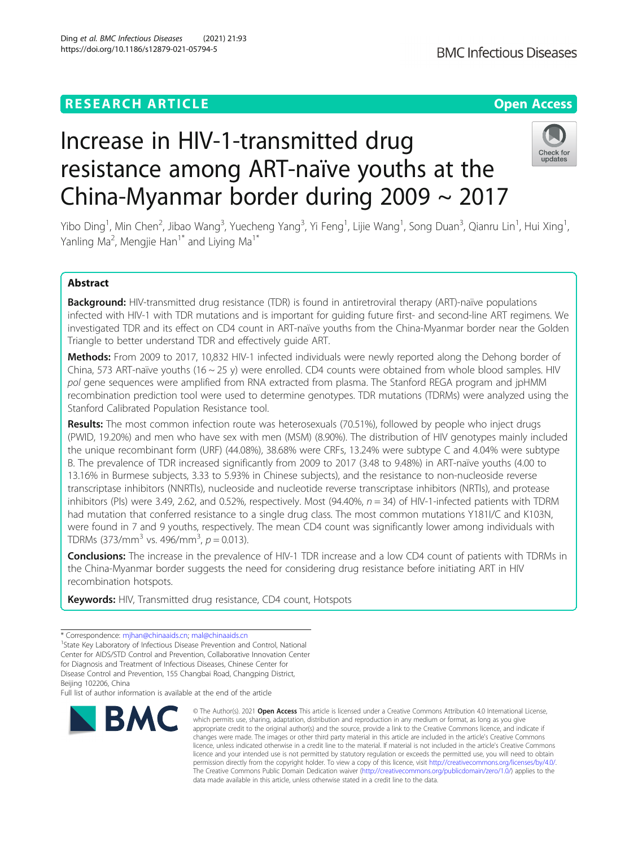## **RESEARCH ARTICLE Example 2014 12:30 The Contract of Contract ACCESS**

# Increase in HIV-1-transmitted drug resistance among ART-naïve youths at the China-Myanmar border during 2009 ~ 2017



Yibo Ding<sup>1</sup>, Min Chen<sup>2</sup>, Jibao Wang<sup>3</sup>, Yuecheng Yang<sup>3</sup>, Yi Feng<sup>1</sup>, Lijie Wang<sup>1</sup>, Song Duan<sup>3</sup>, Qianru Lin<sup>1</sup>, Hui Xing<sup>1</sup> , Yanling Ma<sup>2</sup>, Mengjie Han<sup>1\*</sup> and Liying Ma<sup>1\*</sup>

### Abstract

Background: HIV-transmitted drug resistance (TDR) is found in antiretroviral therapy (ART)-naïve populations infected with HIV-1 with TDR mutations and is important for guiding future first- and second-line ART regimens. We investigated TDR and its effect on CD4 count in ART-naïve youths from the China-Myanmar border near the Golden Triangle to better understand TDR and effectively guide ART.

Methods: From 2009 to 2017, 10,832 HIV-1 infected individuals were newly reported along the Dehong border of China, 573 ART-naïve youths (16  $\sim$  25 y) were enrolled. CD4 counts were obtained from whole blood samples. HIV pol gene sequences were amplified from RNA extracted from plasma. The Stanford REGA program and jpHMM recombination prediction tool were used to determine genotypes. TDR mutations (TDRMs) were analyzed using the Stanford Calibrated Population Resistance tool.

Results: The most common infection route was heterosexuals (70.51%), followed by people who inject drugs (PWID, 19.20%) and men who have sex with men (MSM) (8.90%). The distribution of HIV genotypes mainly included the unique recombinant form (URF) (44.08%), 38.68% were CRFs, 13.24% were subtype C and 4.04% were subtype B. The prevalence of TDR increased significantly from 2009 to 2017 (3.48 to 9.48%) in ART-naïve youths (4.00 to 13.16% in Burmese subjects, 3.33 to 5.93% in Chinese subjects), and the resistance to non-nucleoside reverse transcriptase inhibitors (NNRTIs), nucleoside and nucleotide reverse transcriptase inhibitors (NRTIs), and protease inhibitors (PIs) were 3.49, 2.62, and 0.52%, respectively. Most (94.40%,  $n = 34$ ) of HIV-1-infected patients with TDRM had mutation that conferred resistance to a single drug class. The most common mutations Y181I/C and K103N, were found in 7 and 9 youths, respectively. The mean CD4 count was significantly lower among individuals with TDRMs (373/mm<sup>3</sup> vs. 496/mm<sup>3</sup>,  $p = 0.013$ ).

Conclusions: The increase in the prevalence of HIV-1 TDR increase and a low CD4 count of patients with TDRMs in the China-Myanmar border suggests the need for considering drug resistance before initiating ART in HIV recombination hotspots.

Keywords: HIV, Transmitted drug resistance, CD4 count, Hotspots

<sup>1</sup> State Key Laboratory of Infectious Disease Prevention and Control, National Center for AIDS/STD Control and Prevention, Collaborative Innovation Center for Diagnosis and Treatment of Infectious Diseases, Chinese Center for Disease Control and Prevention, 155 Changbai Road, Changping District, Beijing 102206, China

Full list of author information is available at the end of the article



<sup>©</sup> The Author(s), 2021 **Open Access** This article is licensed under a Creative Commons Attribution 4.0 International License, which permits use, sharing, adaptation, distribution and reproduction in any medium or format, as long as you give appropriate credit to the original author(s) and the source, provide a link to the Creative Commons licence, and indicate if changes were made. The images or other third party material in this article are included in the article's Creative Commons licence, unless indicated otherwise in a credit line to the material. If material is not included in the article's Creative Commons licence and your intended use is not permitted by statutory regulation or exceeds the permitted use, you will need to obtain permission directly from the copyright holder. To view a copy of this licence, visit [http://creativecommons.org/licenses/by/4.0/.](http://creativecommons.org/licenses/by/4.0/) The Creative Commons Public Domain Dedication waiver [\(http://creativecommons.org/publicdomain/zero/1.0/](http://creativecommons.org/publicdomain/zero/1.0/)) applies to the data made available in this article, unless otherwise stated in a credit line to the data.

<sup>\*</sup> Correspondence: [mjhan@chinaaids.cn](mailto:mjhan@chinaaids.cn); [mal@chinaaids.cn](mailto:mal@chinaaids.cn) <sup>1</sup>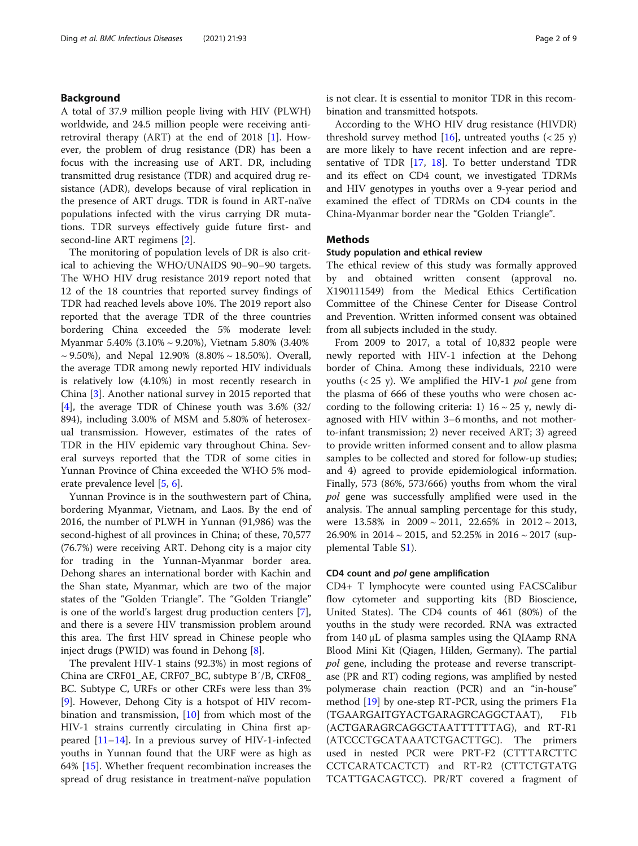#### Background

A total of 37.9 million people living with HIV (PLWH) worldwide, and 24.5 million people were receiving antiretroviral therapy (ART) at the end of 2018 [[1\]](#page-7-0). However, the problem of drug resistance (DR) has been a focus with the increasing use of ART. DR, including transmitted drug resistance (TDR) and acquired drug resistance (ADR), develops because of viral replication in the presence of ART drugs. TDR is found in ART-naïve populations infected with the virus carrying DR mutations. TDR surveys effectively guide future first- and second-line ART regimens [\[2](#page-7-0)].

The monitoring of population levels of DR is also critical to achieving the WHO/UNAIDS 90–90–90 targets. The WHO HIV drug resistance 2019 report noted that 12 of the 18 countries that reported survey findings of TDR had reached levels above 10%. The 2019 report also reported that the average TDR of the three countries bordering China exceeded the 5% moderate level: Myanmar 5.40% (3.10% ~ 9.20%), Vietnam 5.80% (3.40%  $\sim$  9.50%), and Nepal 12.90% (8.80%  $\sim$  18.50%). Overall, the average TDR among newly reported HIV individuals is relatively low (4.10%) in most recently research in China [\[3](#page-7-0)]. Another national survey in 2015 reported that [[4\]](#page-7-0), the average TDR of Chinese youth was 3.6% (32/ 894), including 3.00% of MSM and 5.80% of heterosexual transmission. However, estimates of the rates of TDR in the HIV epidemic vary throughout China. Several surveys reported that the TDR of some cities in Yunnan Province of China exceeded the WHO 5% moderate prevalence level [\[5](#page-7-0), [6](#page-7-0)].

Yunnan Province is in the southwestern part of China, bordering Myanmar, Vietnam, and Laos. By the end of 2016, the number of PLWH in Yunnan (91,986) was the second-highest of all provinces in China; of these, 70,577 (76.7%) were receiving ART. Dehong city is a major city for trading in the Yunnan-Myanmar border area. Dehong shares an international border with Kachin and the Shan state, Myanmar, which are two of the major states of the "Golden Triangle". The "Golden Triangle" is one of the world's largest drug production centers [\[7](#page-7-0)], and there is a severe HIV transmission problem around this area. The first HIV spread in Chinese people who inject drugs (PWID) was found in Dehong  $[8]$  $[8]$ .

The prevalent HIV-1 stains (92.3%) in most regions of China are CRF01\_AE, CRF07\_BC, subtype B′/B, CRF08\_ BC. Subtype C, URFs or other CRFs were less than 3% [[9\]](#page-7-0). However, Dehong City is a hotspot of HIV recombination and transmission, [[10\]](#page-7-0) from which most of the HIV-1 strains currently circulating in China first appeared [\[11](#page-7-0)–[14\]](#page-7-0). In a previous survey of HIV-1-infected youths in Yunnan found that the URF were as high as 64% [[15\]](#page-7-0). Whether frequent recombination increases the spread of drug resistance in treatment-naïve population is not clear. It is essential to monitor TDR in this recombination and transmitted hotspots.

According to the WHO HIV drug resistance (HIVDR) threshold survey method [[16\]](#page-7-0), untreated youths  $(< 25 y)$ are more likely to have recent infection and are repre-sentative of TDR [[17,](#page-7-0) [18\]](#page-7-0). To better understand TDR and its effect on CD4 count, we investigated TDRMs and HIV genotypes in youths over a 9-year period and examined the effect of TDRMs on CD4 counts in the China-Myanmar border near the "Golden Triangle".

#### Methods

#### Study population and ethical review

The ethical review of this study was formally approved by and obtained written consent (approval no. X190111549) from the Medical Ethics Certification Committee of the Chinese Center for Disease Control and Prevention. Written informed consent was obtained from all subjects included in the study.

From 2009 to 2017, a total of 10,832 people were newly reported with HIV-1 infection at the Dehong border of China. Among these individuals, 2210 were youths  $(< 25$  y). We amplified the HIV-1 *pol* gene from the plasma of 666 of these youths who were chosen according to the following criteria: 1)  $16 \sim 25$  y, newly diagnosed with HIV within 3–6 months, and not motherto-infant transmission; 2) never received ART; 3) agreed to provide written informed consent and to allow plasma samples to be collected and stored for follow-up studies; and 4) agreed to provide epidemiological information. Finally, 573 (86%, 573/666) youths from whom the viral pol gene was successfully amplified were used in the analysis. The annual sampling percentage for this study, were  $13.58\%$  in  $2009 \sim 2011$ ,  $22.65\%$  in  $2012 \sim 2013$ , 26.90% in 2014 ~ 2015, and 52.25% in 2016 ~ 2017 (supplemental Table S[1\)](#page-7-0).

#### CD4 count and pol gene amplification

CD4+ T lymphocyte were counted using FACSCalibur flow cytometer and supporting kits (BD Bioscience, United States). The CD4 counts of 461 (80%) of the youths in the study were recorded. RNA was extracted from 140 μL of plasma samples using the QIAamp RNA Blood Mini Kit (Qiagen, Hilden, Germany). The partial pol gene, including the protease and reverse transcriptase (PR and RT) coding regions, was amplified by nested polymerase chain reaction (PCR) and an "in-house" method [\[19](#page-7-0)] by one-step RT-PCR, using the primers F1a (TGAARGAITGYACTGARAGRCAGGCTAAT), F1b (ACTGARAGRCAGGCTAATTTTTTAG), and RT-R1 (ATCCCTGCATAAATCTGACTTGC). The primers used in nested PCR were PRT-F2 (CTTTARCTTC CCTCARATCACTCT) and RT-R2 (CTTCTGTATG TCATTGACAGTCC). PR/RT covered a fragment of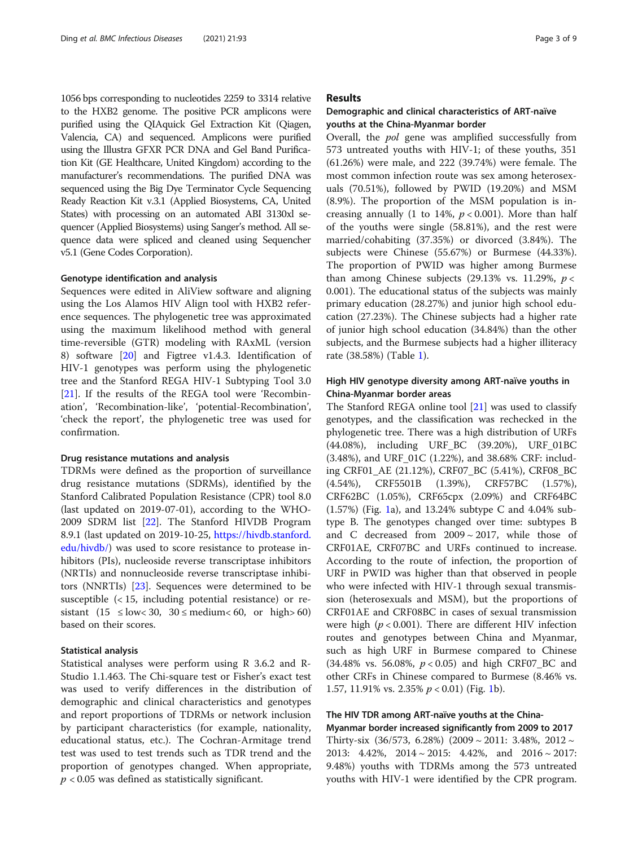1056 bps corresponding to nucleotides 2259 to 3314 relative to the HXB2 genome. The positive PCR amplicons were purified using the QIAquick Gel Extraction Kit (Qiagen, Valencia, CA) and sequenced. Amplicons were purified using the Illustra GFXR PCR DNA and Gel Band Purification Kit (GE Healthcare, United Kingdom) according to the manufacturer's recommendations. The purified DNA was sequenced using the Big Dye Terminator Cycle Sequencing Ready Reaction Kit v.3.1 (Applied Biosystems, CA, United States) with processing on an automated ABI 3130xl sequencer (Applied Biosystems) using Sanger's method. All sequence data were spliced and cleaned using Sequencher v5.1 (Gene Codes Corporation).

#### Genotype identification and analysis

Sequences were edited in AliView software and aligning using the Los Alamos HIV Align tool with HXB2 reference sequences. The phylogenetic tree was approximated using the maximum likelihood method with general time-reversible (GTR) modeling with RAxML (version 8) software [[20\]](#page-8-0) and Figtree v1.4.3. Identification of HIV-1 genotypes was perform using the phylogenetic tree and the Stanford REGA HIV-1 Subtyping Tool 3.0 [[21\]](#page-8-0). If the results of the REGA tool were 'Recombination', 'Recombination-like', 'potential-Recombination', 'check the report', the phylogenetic tree was used for confirmation.

#### Drug resistance mutations and analysis

TDRMs were defined as the proportion of surveillance drug resistance mutations (SDRMs), identified by the Stanford Calibrated Population Resistance (CPR) tool 8.0 (last updated on 2019-07-01), according to the WHO-2009 SDRM list [[22\]](#page-8-0). The Stanford HIVDB Program 8.9.1 (last updated on 2019-10-25, [https://hivdb.stanford.](https://hivdb.stanford.edu/hivdb/) [edu/hivdb/](https://hivdb.stanford.edu/hivdb/)) was used to score resistance to protease inhibitors (PIs), nucleoside reverse transcriptase inhibitors (NRTIs) and nonnucleoside reverse transcriptase inhibitors (NNRTIs) [[23\]](#page-8-0). Sequences were determined to be susceptible (< 15, including potential resistance) or resistant (15  $\leq$  low $<$  30, 30  $\leq$  medium $<$  60, or high $>$  60) based on their scores.

#### Statistical analysis

Statistical analyses were perform using R 3.6.2 and R-Studio 1.1.463. The Chi-square test or Fisher's exact test was used to verify differences in the distribution of demographic and clinical characteristics and genotypes and report proportions of TDRMs or network inclusion by participant characteristics (for example, nationality, educational status, etc.). The Cochran-Armitage trend test was used to test trends such as TDR trend and the proportion of genotypes changed. When appropriate,  $p$  < 0.05 was defined as statistically significant.

#### Results

#### Demographic and clinical characteristics of ART-naïve youths at the China-Myanmar border

Overall, the pol gene was amplified successfully from 573 untreated youths with HIV-1; of these youths, 351 (61.26%) were male, and 222 (39.74%) were female. The most common infection route was sex among heterosexuals (70.51%), followed by PWID (19.20%) and MSM (8.9%). The proportion of the MSM population is increasing annually (1 to 14%,  $p < 0.001$ ). More than half of the youths were single (58.81%), and the rest were married/cohabiting (37.35%) or divorced (3.84%). The subjects were Chinese (55.67%) or Burmese (44.33%). The proportion of PWID was higher among Burmese than among Chinese subjects (29.13% vs. 11.29%,  $p <$ 0.001). The educational status of the subjects was mainly primary education (28.27%) and junior high school education (27.23%). The Chinese subjects had a higher rate of junior high school education (34.84%) than the other subjects, and the Burmese subjects had a higher illiteracy rate (38.58%) (Table [1](#page-3-0)).

#### High HIV genotype diversity among ART-naïve youths in China-Myanmar border areas

The Stanford REGA online tool [\[21\]](#page-8-0) was used to classify genotypes, and the classification was rechecked in the phylogenetic tree. There was a high distribution of URFs (44.08%), including URF\_BC (39.20%), URF\_01BC (3.48%), and URF\_01C (1.22%), and 38.68% CRF: including CRF01\_AE (21.12%), CRF07\_BC (5.41%), CRF08\_BC (4.54%), CRF5501B (1.39%), CRF57BC (1.57%), CRF62BC (1.05%), CRF65cpx (2.09%) and CRF64BC (1.57%) (Fig. [1a](#page-4-0)), and 13.24% subtype C and 4.04% subtype B. The genotypes changed over time: subtypes B and C decreased from  $2009 \sim 2017$ , while those of CRF01AE, CRF07BC and URFs continued to increase. According to the route of infection, the proportion of URF in PWID was higher than that observed in people who were infected with HIV-1 through sexual transmission (heterosexuals and MSM), but the proportions of CRF01AE and CRF08BC in cases of sexual transmission were high ( $p < 0.001$ ). There are different HIV infection routes and genotypes between China and Myanmar, such as high URF in Burmese compared to Chinese (34.48% vs. 56.08%,  $p < 0.05$ ) and high CRF07\_BC and other CRFs in Chinese compared to Burmese (8.46% vs. [1](#page-4-0).57, 11.91% vs. 2.35%  $p < 0.01$ ) (Fig. 1b).

#### The HIV TDR among ART-naïve youths at the China-

#### Myanmar border increased significantly from 2009 to 2017 Thirty-six  $(36/573, 6.28%) (2009 \sim 2011: 3.48%, 2012 \sim$ 2013: 4.42%, 2014 ~ 2015: 4.42%, and 2016 ~ 2017: 9.48%) youths with TDRMs among the 573 untreated youths with HIV-1 were identified by the CPR program.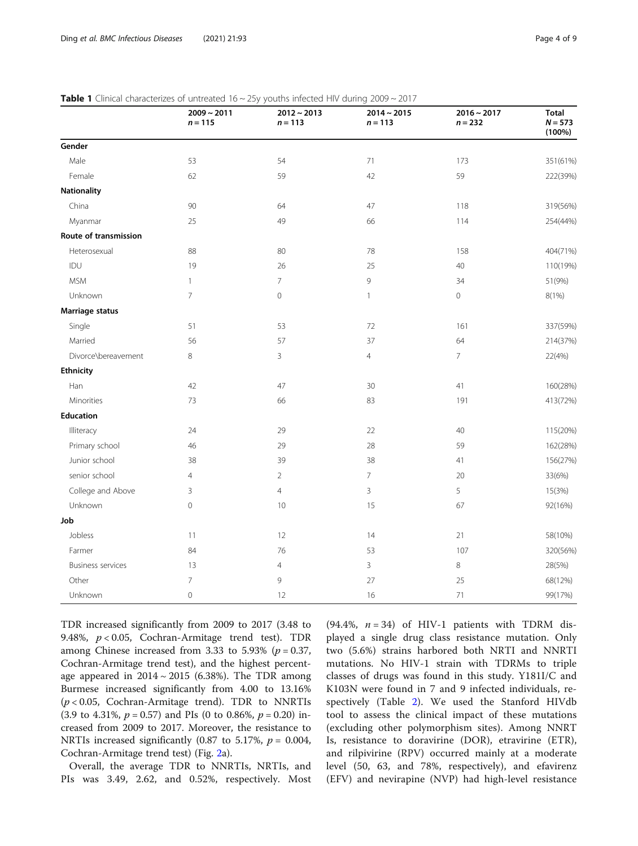|                          | $2009 \sim 2011$<br>$n = 115$ | $2012 - 2013$<br>$n = 113$ | $2014 - 2015$<br>$n = 113$ | $2016 - 2017$<br>$n = 232$ | <b>Total</b><br>$N = 573$<br>$(100\%)$ |
|--------------------------|-------------------------------|----------------------------|----------------------------|----------------------------|----------------------------------------|
| Gender                   |                               |                            |                            |                            |                                        |
| Male                     | 53                            | 54                         | 71                         | 173                        | 351(61%)                               |
| Female                   | 62                            | 59                         | 42                         | 59                         | 222(39%)                               |
| <b>Nationality</b>       |                               |                            |                            |                            |                                        |
| China                    | 90                            | 64                         | 47                         | 118                        | 319(56%)                               |
| Myanmar                  | 25                            | 49                         | 66                         | 114                        | 254(44%)                               |
| Route of transmission    |                               |                            |                            |                            |                                        |
| Heterosexual             | 88                            | 80                         | 78                         | 158                        | 404(71%)                               |
| IDU                      | 19                            | 26                         | 25                         | 40                         | 110(19%)                               |
| <b>MSM</b>               | $\mathbf{1}$                  | $\overline{7}$             | 9                          | 34                         | 51(9%)                                 |
| Unknown                  | 7                             | 0                          | $\mathbf{1}$               | $\mathsf{O}\xspace$        | 8(1%)                                  |
| Marriage status          |                               |                            |                            |                            |                                        |
| Single                   | 51                            | 53                         | $72\,$                     | 161                        | 337(59%)                               |
| Married                  | 56                            | 57                         | 37                         | 64                         | 214(37%)                               |
| Divorce\bereavement      | 8                             | 3                          | $\overline{4}$             | $\overline{7}$             | 22(4%)                                 |
| Ethnicity                |                               |                            |                            |                            |                                        |
| Han                      | 42                            | 47                         | 30                         | 41                         | 160(28%)                               |
| Minorities               | 73                            | 66                         | 83                         | 191                        | 413(72%)                               |
| Education                |                               |                            |                            |                            |                                        |
| Illiteracy               | 24                            | 29                         | 22                         | 40                         | 115(20%)                               |
| Primary school           | 46                            | 29                         | 28                         | 59                         | 162(28%)                               |
| Junior school            | 38                            | 39                         | 38                         | 41                         | 156(27%)                               |
| senior school            | $\overline{4}$                | $\overline{2}$             | $\overline{\phantom{a}}$   | 20                         | 33(6%)                                 |
| College and Above        | 3                             | 4                          | 3                          | 5                          | 15(3%)                                 |
| Unknown                  | $\mathbf 0$                   | $10$                       | 15                         | 67                         | 92(16%)                                |
| Job                      |                               |                            |                            |                            |                                        |
| Jobless                  | 11                            | 12                         | 14                         | 21                         | 58(10%)                                |
| Farmer                   | 84                            | 76                         | 53                         | 107                        | 320(56%)                               |
| <b>Business services</b> | 13                            | 4                          | 3                          | 8                          | 28(5%)                                 |
| Other                    | $\overline{7}$                | 9                          | 27                         | 25                         | 68(12%)                                |
| Unknown                  | $\mathbf 0$                   | 12                         | 16                         | 71                         | 99(17%)                                |

<span id="page-3-0"></span>**Table 1** Clinical characterizes of untreated  $16 \sim 25$ y youths infected HIV during 2009  $\sim$  2017

TDR increased significantly from 2009 to 2017 (3.48 to 9.48%,  $p < 0.05$ , Cochran-Armitage trend test). TDR among Chinese increased from 3.33 to 5.93% ( $p = 0.37$ , Cochran-Armitage trend test), and the highest percentage appeared in  $2014 \sim 2015$  (6.38%). The TDR among Burmese increased significantly from 4.00 to 13.16%  $(p < 0.05,$  Cochran-Armitage trend). TDR to NNRTIs  $(3.9 \text{ to } 4.31\%, p = 0.57)$  and PIs  $(0 \text{ to } 0.86\%, p = 0.20)$  increased from 2009 to 2017. Moreover, the resistance to NRTIs increased significantly (0.87 to 5.17%,  $p = 0.004$ , Cochran-Armitage trend test) (Fig. [2](#page-4-0)a).

Overall, the average TDR to NNRTIs, NRTIs, and PIs was 3.49, 2.62, and 0.52%, respectively. Most

(94.4%,  $n = 34$ ) of HIV-1 patients with TDRM displayed a single drug class resistance mutation. Only two (5.6%) strains harbored both NRTI and NNRTI mutations. No HIV-1 strain with TDRMs to triple classes of drugs was found in this study. Y181I/C and K103N were found in 7 and 9 infected individuals, respectively (Table [2\)](#page-5-0). We used the Stanford HIVdb tool to assess the clinical impact of these mutations (excluding other polymorphism sites). Among NNRT Is, resistance to doravirine (DOR), etravirine (ETR), and rilpivirine (RPV) occurred mainly at a moderate level (50, 63, and 78%, respectively), and efavirenz (EFV) and nevirapine (NVP) had high-level resistance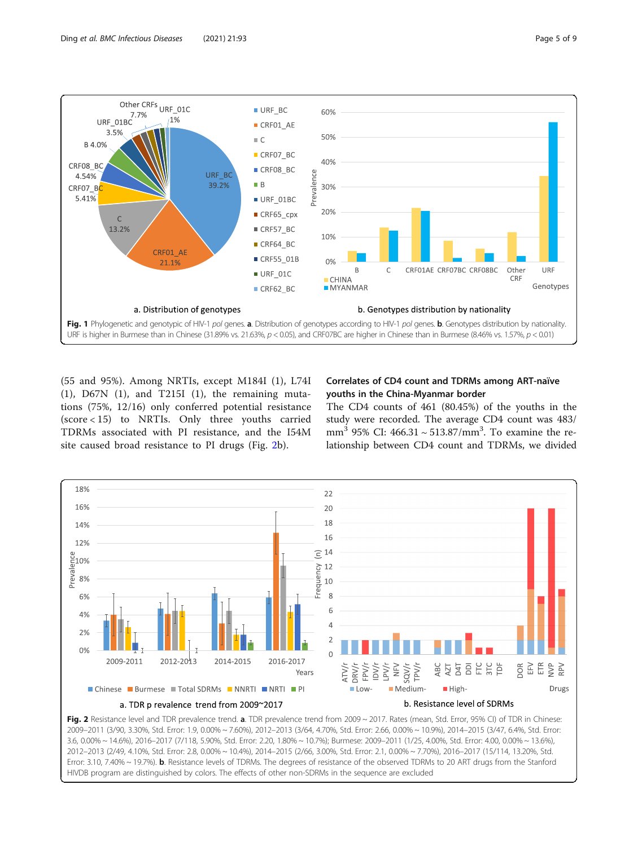

<span id="page-4-0"></span>

(55 and 95%). Among NRTIs, except M184I (1), L74I (1), D67N (1), and T215I (1), the remaining mutations (75%, 12/16) only conferred potential resistance (score < 15) to NRTIs. Only three youths carried TDRMs associated with PI resistance, and the I54M site caused broad resistance to PI drugs (Fig. 2b).

#### Correlates of CD4 count and TDRMs among ART-naïve youths in the China-Myanmar border

The CD4 counts of 461 (80.45%) of the youths in the study were recorded. The average CD4 count was 483/ mm<sup>3</sup> 95% CI:  $466.31 \sim 513.87/\text{mm}^3$ . To examine the relationship between CD4 count and TDRMs, we divided



2009–2011 (3/90, 3.30%, Std. Error: 1.9, 0.00% ~ 7.60%), 2012–2013 (3/64, 4.70%, Std. Error: 2.66, 0.00% ~ 10.9%), 2014–2015 (3/47, 6.4%, Std. Error: 3.6, 0.00% ~ 14.6%), 2016–2017 (7/118, 5.90%, Std. Error: 2.20, 1.80% ~ 10.7%); Burmese: 2009–2011 (1/25, 4.00%, Std. Error: 4.00, 0.00% ~ 13.6%), 2012–2013 (2/49, 4.10%, Std. Error: 2.8, 0.00% ~ 10.4%), 2014–2015 (2/66, 3.00%, Std. Error: 2.1, 0.00% ~ 7.70%), 2016–2017 (15/114, 13.20%, Std. Error: 3.10, 7.40% ~ 19.7%). b. Resistance levels of TDRMs. The degrees of resistance of the observed TDRMs to 20 ART drugs from the Stanford HIVDB program are distinguished by colors. The effects of other non-SDRMs in the sequence are excluded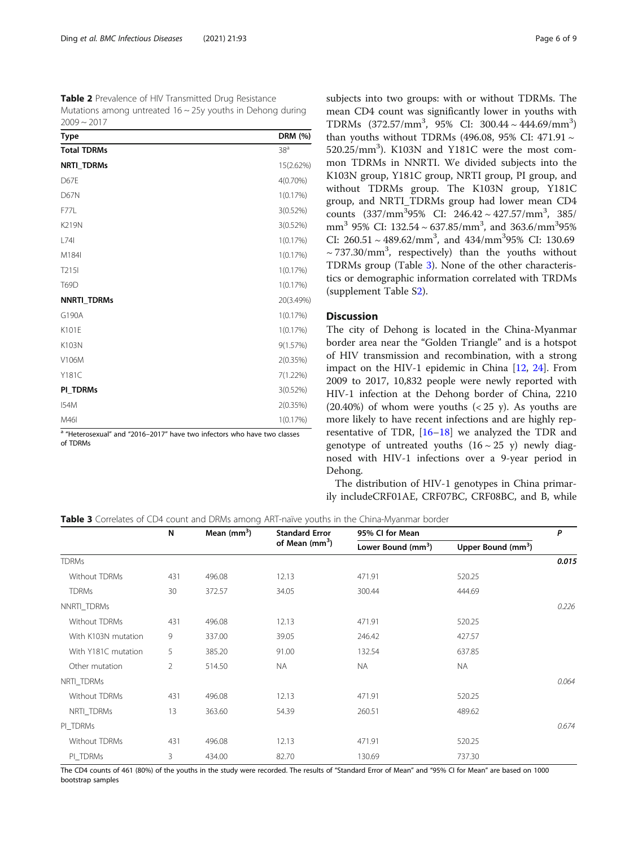<span id="page-5-0"></span>Table 2 Prevalence of HIV Transmitted Drug Resistance Mutations among untreated  $16 \sim 25y$  youths in Dehong during  $2009 - 2017$ 

| <b>Type</b>        | DRM (%)         |
|--------------------|-----------------|
| <b>Total TDRMs</b> | 38 <sup>a</sup> |
| NRTI_TDRMs         | 15(2.62%)       |
| D67E               | $4(0.70\%)$     |
| <b>D67N</b>        | 1(0.17%)        |
| F77L               | 3(0.52%)        |
| <b>K219N</b>       | 3(0.52%)        |
| L74I               | 1(0.17%)        |
| M184               | 1(0.17%)        |
| T215I              | 1(0.17%)        |
| T69D               | 1(0.17%)        |
| <b>NNRTI_TDRMs</b> | 20(3.49%)       |
| G190A              | 1(0.17%)        |
| K101E              | 1(0.17%)        |
| K103N              | 9(1.57%)        |
| V106M              | 2(0.35%)        |
| Y181C              | 7(1.22%)        |
| PI_TDRMs           | 3(0.52%)        |
| <b>I54M</b>        | 2(0.35%)        |
| M46I               | 1(0.17%)        |

a "Heterosexual" and "2016–2017" have two infectors who have two classes of TDRMs

subjects into two groups: with or without TDRMs. The mean CD4 count was significantly lower in youths with TDRMs  $(372.57/\text{mm}^3, 95\% \text{ CI: } 300.44 \sim 444.69/\text{mm}^3)$ than youths without TDRMs (496.08, 95% CI: 471.91  $\sim$  $520.25/\text{mm}^3$ ). K103N and Y181C were the most common TDRMs in NNRTI. We divided subjects into the K103N group, Y181C group, NRTI group, PI group, and without TDRMs group. The K103N group, Y181C group, and NRTI\_TDRMs group had lower mean CD4 counts  $(337/\text{mm}^3)5\%$  CI:  $246.42 \sim 427.57/\text{mm}^3$ ,  $385/\text{mm}$ mm<sup>3</sup> 95% CI: 132.54 ~ 637.85/mm<sup>3</sup>, and 363.6/mm<sup>3</sup>95% CI:  $260.51 \sim 489.62/\text{mm}^3$ , and  $434/\text{mm}^395\%$  CI: 130.69  $\sim$  737.30/mm<sup>3</sup>, respectively) than the youths without TDRMs group (Table 3). None of the other characteristics or demographic information correlated with TRDMs (supplement Table [S2](#page-7-0)).

#### **Discussion**

The city of Dehong is located in the China-Myanmar border area near the "Golden Triangle" and is a hotspot of HIV transmission and recombination, with a strong impact on the HIV-1 epidemic in China [[12](#page-7-0), [24](#page-8-0)]. From 2009 to 2017, 10,832 people were newly reported with HIV-1 infection at the Dehong border of China, 2210  $(20.40\%)$  of whom were youths  $( $25$  y). As youths are$ more likely to have recent infections and are highly representative of TDR, [\[16](#page-7-0)–[18](#page-7-0)] we analyzed the TDR and genotype of untreated youths  $(16 \sim 25 \text{ y})$  newly diagnosed with HIV-1 infections over a 9-year period in Dehong.

The distribution of HIV-1 genotypes in China primarily includeCRF01AE, CRF07BC, CRF08BC, and B, while

#### Table 3 Correlates of CD4 count and DRMs among ART-naïve youths in the China-Myanmar border

|                     | N              | Mean $(mm3)$ | <b>Standard Error</b><br>of Mean $(mm3)$ | 95% CI for Mean                |                                | P     |
|---------------------|----------------|--------------|------------------------------------------|--------------------------------|--------------------------------|-------|
|                     |                |              |                                          | Lower Bound (mm <sup>3</sup> ) | Upper Bound (mm <sup>3</sup> ) |       |
| <b>TDRMs</b>        |                |              |                                          |                                |                                | 0.015 |
| Without TDRMs       | 431            | 496.08       | 12.13                                    | 471.91                         | 520.25                         |       |
| <b>TDRMs</b>        | 30             | 372.57       | 34.05                                    | 300.44                         | 444.69                         |       |
| NNRTI_TDRMs         |                |              |                                          |                                |                                | 0.226 |
| Without TDRMs       | 431            | 496.08       | 12.13                                    | 471.91                         | 520.25                         |       |
| With K103N mutation | 9              | 337.00       | 39.05                                    | 246.42                         | 427.57                         |       |
| With Y181C mutation | 5              | 385.20       | 91.00                                    | 132.54                         | 637.85                         |       |
| Other mutation      | $\overline{2}$ | 514.50       | NA.                                      | <b>NA</b>                      | <b>NA</b>                      |       |
| NRTI_TDRMs          |                |              |                                          |                                |                                | 0.064 |
| Without TDRMs       | 431            | 496.08       | 12.13                                    | 471.91                         | 520.25                         |       |
| NRTI TDRMs          | 13             | 363.60       | 54.39                                    | 260.51                         | 489.62                         |       |
| PI_TDRMs            |                |              |                                          |                                |                                | 0.674 |
| Without TDRMs       | 431            | 496.08       | 12.13                                    | 471.91                         | 520.25                         |       |
| PI TDRMs            | 3              | 434.00       | 82.70                                    | 130.69                         | 737.30                         |       |

The CD4 counts of 461 (80%) of the youths in the study were recorded. The results of "Standard Error of Mean" and "95% CI for Mean" are based on 1000 bootstrap samples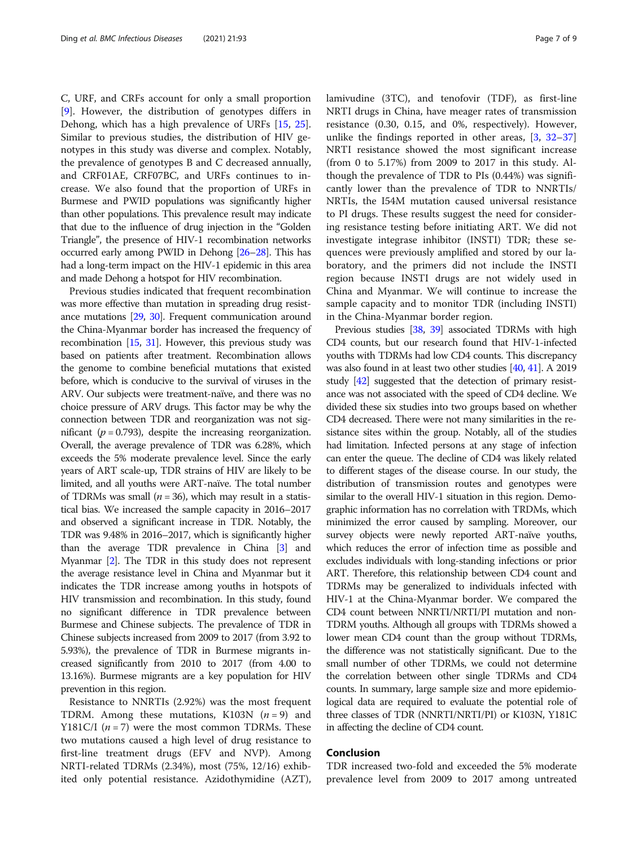C, URF, and CRFs account for only a small proportion [[9\]](#page-7-0). However, the distribution of genotypes differs in Dehong, which has a high prevalence of URFs [\[15](#page-7-0), [25](#page-8-0)]. Similar to previous studies, the distribution of HIV genotypes in this study was diverse and complex. Notably, the prevalence of genotypes B and C decreased annually, and CRF01AE, CRF07BC, and URFs continues to increase. We also found that the proportion of URFs in Burmese and PWID populations was significantly higher than other populations. This prevalence result may indicate that due to the influence of drug injection in the "Golden Triangle", the presence of HIV-1 recombination networks occurred early among PWID in Dehong [[26](#page-8-0)–[28](#page-8-0)]. This has had a long-term impact on the HIV-1 epidemic in this area and made Dehong a hotspot for HIV recombination.

Previous studies indicated that frequent recombination was more effective than mutation in spreading drug resistance mutations [\[29,](#page-8-0) [30](#page-8-0)]. Frequent communication around the China-Myanmar border has increased the frequency of recombination [[15](#page-7-0), [31\]](#page-8-0). However, this previous study was based on patients after treatment. Recombination allows the genome to combine beneficial mutations that existed before, which is conducive to the survival of viruses in the ARV. Our subjects were treatment-naïve, and there was no choice pressure of ARV drugs. This factor may be why the connection between TDR and reorganization was not significant ( $p = 0.793$ ), despite the increasing reorganization. Overall, the average prevalence of TDR was 6.28%, which exceeds the 5% moderate prevalence level. Since the early years of ART scale-up, TDR strains of HIV are likely to be limited, and all youths were ART-naïve. The total number of TDRMs was small ( $n = 36$ ), which may result in a statistical bias. We increased the sample capacity in 2016–2017 and observed a significant increase in TDR. Notably, the TDR was 9.48% in 2016–2017, which is significantly higher than the average TDR prevalence in China [\[3\]](#page-7-0) and Myanmar [\[2\]](#page-7-0). The TDR in this study does not represent the average resistance level in China and Myanmar but it indicates the TDR increase among youths in hotspots of HIV transmission and recombination. In this study, found no significant difference in TDR prevalence between Burmese and Chinese subjects. The prevalence of TDR in Chinese subjects increased from 2009 to 2017 (from 3.92 to 5.93%), the prevalence of TDR in Burmese migrants increased significantly from 2010 to 2017 (from 4.00 to 13.16%). Burmese migrants are a key population for HIV prevention in this region.

Resistance to NNRTIs (2.92%) was the most frequent TDRM. Among these mutations, K103N  $(n = 9)$  and Y181C/I ( $n = 7$ ) were the most common TDRMs. These two mutations caused a high level of drug resistance to first-line treatment drugs (EFV and NVP). Among NRTI-related TDRMs (2.34%), most (75%, 12/16) exhibited only potential resistance. Azidothymidine (AZT), lamivudine (3TC), and tenofovir (TDF), as first-line NRTI drugs in China, have meager rates of transmission resistance (0.30, 0.15, and 0%, respectively). However, unlike the findings reported in other areas,  $\left[3, 32-37\right]$  $\left[3, 32-37\right]$  $\left[3, 32-37\right]$  $\left[3, 32-37\right]$  $\left[3, 32-37\right]$  $\left[3, 32-37\right]$  $\left[3, 32-37\right]$ NRTI resistance showed the most significant increase (from 0 to 5.17%) from 2009 to 2017 in this study. Although the prevalence of TDR to PIs (0.44%) was significantly lower than the prevalence of TDR to NNRTIs/ NRTIs, the I54M mutation caused universal resistance to PI drugs. These results suggest the need for considering resistance testing before initiating ART. We did not investigate integrase inhibitor (INSTI) TDR; these sequences were previously amplified and stored by our laboratory, and the primers did not include the INSTI region because INSTI drugs are not widely used in China and Myanmar. We will continue to increase the sample capacity and to monitor TDR (including INSTI) in the China-Myanmar border region.

Previous studies [[38,](#page-8-0) [39](#page-8-0)] associated TDRMs with high CD4 counts, but our research found that HIV-1-infected youths with TDRMs had low CD4 counts. This discrepancy was also found in at least two other studies [[40](#page-8-0), [41](#page-8-0)]. A 2019 study [\[42](#page-8-0)] suggested that the detection of primary resistance was not associated with the speed of CD4 decline. We divided these six studies into two groups based on whether CD4 decreased. There were not many similarities in the resistance sites within the group. Notably, all of the studies had limitation. Infected persons at any stage of infection can enter the queue. The decline of CD4 was likely related to different stages of the disease course. In our study, the distribution of transmission routes and genotypes were similar to the overall HIV-1 situation in this region. Demographic information has no correlation with TRDMs, which minimized the error caused by sampling. Moreover, our survey objects were newly reported ART-naïve youths, which reduces the error of infection time as possible and excludes individuals with long-standing infections or prior ART. Therefore, this relationship between CD4 count and TDRMs may be generalized to individuals infected with HIV-1 at the China-Myanmar border. We compared the CD4 count between NNRTI/NRTI/PI mutation and non-TDRM youths. Although all groups with TDRMs showed a lower mean CD4 count than the group without TDRMs, the difference was not statistically significant. Due to the small number of other TDRMs, we could not determine the correlation between other single TDRMs and CD4 counts. In summary, large sample size and more epidemiological data are required to evaluate the potential role of three classes of TDR (NNRTI/NRTI/PI) or K103N, Y181C in affecting the decline of CD4 count.

#### Conclusion

TDR increased two-fold and exceeded the 5% moderate prevalence level from 2009 to 2017 among untreated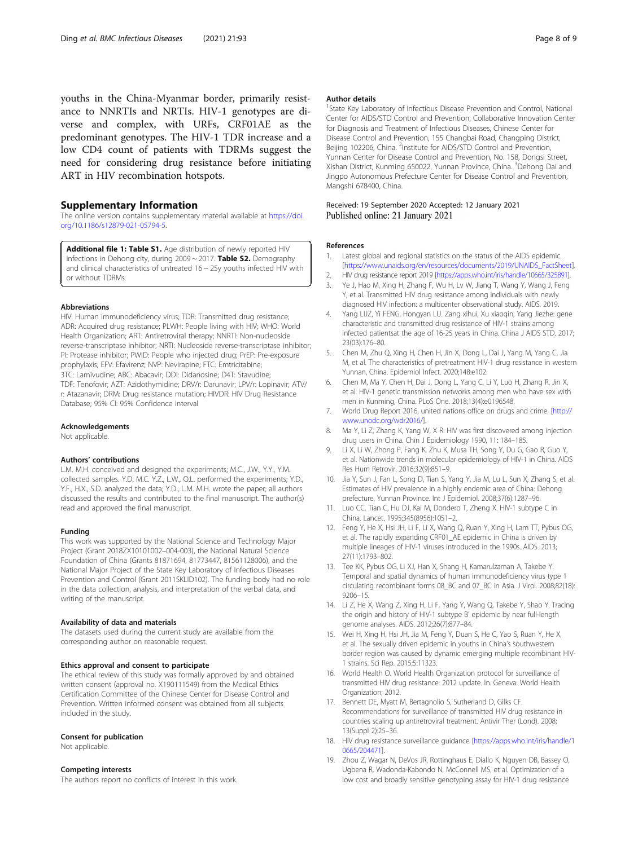<span id="page-7-0"></span>youths in the China-Myanmar border, primarily resistance to NNRTIs and NRTIs. HIV-1 genotypes are diverse and complex, with URFs, CRF01AE as the predominant genotypes. The HIV-1 TDR increase and a low CD4 count of patients with TDRMs suggest the need for considering drug resistance before initiating ART in HIV recombination hotspots.

#### Supplementary Information

The online version contains supplementary material available at [https://doi.](https://doi.org/10.1186/s12879-021-05794-5) [org/10.1186/s12879-021-05794-5.](https://doi.org/10.1186/s12879-021-05794-5)

Additional file 1: Table S1. Age distribution of newly reported HIV infections in Dehong city, during  $2009 \sim 2017$ . Table S2. Demography and clinical characteristics of untreated 16 ~ 25y youths infected HIV with or without TDRMs.

#### Abbreviations

HIV: Human immunodeficiency virus; TDR: Transmitted drug resistance; ADR: Acquired drug resistance; PLWH: People living with HIV; WHO: World Health Organization; ART: Antiretroviral therapy; NNRTI: Non-nucleoside reverse-transcriptase inhibitor; NRTI: Nucleoside reverse-transcriptase inhibitor; PI: Protease inhibitor; PWID: People who injected drug; PrEP: Pre-exposure prophylaxis; EFV: Efavirenz; NVP: Nevirapine; FTC: Emtricitabine; 3TC: Lamivudine; ABC: Abacavir; DDI: Didanosine; D4T: Stavudine; TDF: Tenofovir; AZT: Azidothymidine; DRV/r: Darunavir; LPV/r: Lopinavir; ATV/ r: Atazanavir; DRM: Drug resistance mutation; HIVDR: HIV Drug Resistance Database; 95% CI: 95% Confidence interval

#### Acknowledgements

Not applicable.

#### Authors' contributions

L.M. M.H. conceived and designed the experiments; M.C., J.W., Y.Y., Y.M. collected samples. Y.D. M.C. Y.Z., L.W., Q.L. performed the experiments; Y.D., Y.F., H.X., S.D. analyzed the data; Y.D., L.M. M.H. wrote the paper; all authors discussed the results and contributed to the final manuscript. The author(s) read and approved the final manuscript.

#### Funding

This work was supported by the National Science and Technology Major Project (Grant 2018ZX10101002–004-003), the National Natural Science Foundation of China (Grants 81871694, 81773447, 81561128006), and the National Major Project of the State Key Laboratory of Infectious Diseases Prevention and Control (Grant 2011SKLID102). The funding body had no role in the data collection, analysis, and interpretation of the verbal data, and writing of the manuscript.

#### Availability of data and materials

The datasets used during the current study are available from the corresponding author on reasonable request.

#### Ethics approval and consent to participate

The ethical review of this study was formally approved by and obtained written consent (approval no. X190111549) from the Medical Ethics Certification Committee of the Chinese Center for Disease Control and Prevention. Written informed consent was obtained from all subjects included in the study.

#### Consent for publication

Not applicable.

#### Competing interests

The authors report no conflicts of interest in this work.

#### Author details

<sup>1</sup>State Key Laboratory of Infectious Disease Prevention and Control, National Center for AIDS/STD Control and Prevention, Collaborative Innovation Center for Diagnosis and Treatment of Infectious Diseases, Chinese Center for Disease Control and Prevention, 155 Changbai Road, Changping District, Beijing 102206, China. <sup>2</sup>Institute for AIDS/STD Control and Prevention, Yunnan Center for Disease Control and Prevention, No. 158, Dongsi Street, Xishan District, Kunming 650022, Yunnan Province, China. <sup>3</sup>Dehong Dai and Jingpo Autonomous Prefecture Center for Disease Control and Prevention, Mangshi 678400, China.

#### Received: 19 September 2020 Accepted: 12 January 2021 Published online: 21 January 2021

#### References

- 1. Latest global and regional statistics on the status of the AIDS epidemic. [[https://www.unaids.org/en/resources/documents/2019/UNAIDS\\_FactSheet](https://www.unaids.org/en/resources/documents/2019/UNAIDS_FactSheet)].
- 2. HIV drug resistance report 2019 [<https://apps.who.int/iris/handle/10665/325891>].
- 3. Ye J, Hao M, Xing H, Zhang F, Wu H, Lv W, Jiang T, Wang Y, Wang J, Feng Y, et al. Transmitted HIV drug resistance among individuals with newly diagnosed HIV infection: a multicenter observational study. AIDS. 2019.
- 4. Yang LIJZ, Yi FENG, Hongyan LU. Zang xihui, Xu xiaoqin, Yang Jiezhe: gene characteristic and transmitted drug resistance of HIV-1 strains among infected patientsat the age of 16-25 years in China. China J AIDS STD. 2017; 23(03):176–80.
- 5. Chen M, Zhu Q, Xing H, Chen H, Jin X, Dong L, Dai J, Yang M, Yang C, Jia M, et al. The characteristics of pretreatment HIV-1 drug resistance in western Yunnan, China. Epidemiol Infect. 2020;148:e102.
- Chen M, Ma Y, Chen H, Dai J, Dong L, Yang C, Li Y, Luo H, Zhang R, Jin X, et al. HIV-1 genetic transmission networks among men who have sex with men in Kunming, China. PLoS One. 2018;13(4):e0196548.
- 7. World Drug Report 2016, united nations office on drugs and crime. [\[http://](http://www.unodc.org/wdr2016/) [www.unodc.org/wdr2016/](http://www.unodc.org/wdr2016/)].
- 8. Ma Y, Li Z, Zhang K, Yang W, X R: HIV was first discovered among injection drug users in China. Chin J Epidemiology 1990, 11: 184–185.
- 9. Li X, Li W, Zhong P, Fang K, Zhu K, Musa TH, Song Y, Du G, Gao R, Guo Y, et al. Nationwide trends in molecular epidemiology of HIV-1 in China. AIDS Res Hum Retrovir. 2016;32(9):851–9.
- 10. Jia Y, Sun J, Fan L, Song D, Tian S, Yang Y, Jia M, Lu L, Sun X, Zhang S, et al. Estimates of HIV prevalence in a highly endemic area of China: Dehong prefecture, Yunnan Province. Int J Epidemiol. 2008;37(6):1287–96.
- 11. Luo CC, Tian C, Hu DJ, Kai M, Dondero T, Zheng X. HIV-1 subtype C in China. Lancet. 1995;345(8956):1051–2.
- 12. Feng Y, He X, Hsi JH, Li F, Li X, Wang Q, Ruan Y, Xing H, Lam TT, Pybus OG, et al. The rapidly expanding CRF01\_AE epidemic in China is driven by multiple lineages of HIV-1 viruses introduced in the 1990s. AIDS. 2013; 27(11):1793–802.
- 13. Tee KK, Pybus OG, Li XJ, Han X, Shang H, Kamarulzaman A, Takebe Y. Temporal and spatial dynamics of human immunodeficiency virus type 1 circulating recombinant forms 08\_BC and 07\_BC in Asia. J Virol. 2008;82(18): 9206–15.
- 14. Li Z, He X, Wang Z, Xing H, Li F, Yang Y, Wang Q, Takebe Y, Shao Y. Tracing the origin and history of HIV-1 subtype B' epidemic by near full-length genome analyses. AIDS. 2012;26(7):877–84.
- 15. Wei H, Xing H, Hsi JH, Jia M, Feng Y, Duan S, He C, Yao S, Ruan Y, He X, et al. The sexually driven epidemic in youths in China's southwestern border region was caused by dynamic emerging multiple recombinant HIV-1 strains. Sci Rep. 2015;5:11323.
- 16. World Health O. World Health Organization protocol for surveillance of transmitted HIV drug resistance: 2012 update. In. Geneva: World Health Organization; 2012.
- 17. Bennett DE, Myatt M, Bertagnolio S, Sutherland D, Gilks CF. Recommendations for surveillance of transmitted HIV drug resistance in countries scaling up antiretroviral treatment. Antivir Ther (Lond). 2008; 13(Suppl 2):25–36.
- 18. HIV drug resistance surveillance guidance [\[https://apps.who.int/iris/handle/1](https://apps.who.int/iris/handle/10665/204471) [0665/204471](https://apps.who.int/iris/handle/10665/204471)].
- 19. Zhou Z, Wagar N, DeVos JR, Rottinghaus E, Diallo K, Nguyen DB, Bassey O, Ugbena R, Wadonda-Kabondo N, McConnell MS, et al. Optimization of a low cost and broadly sensitive genotyping assay for HIV-1 drug resistance